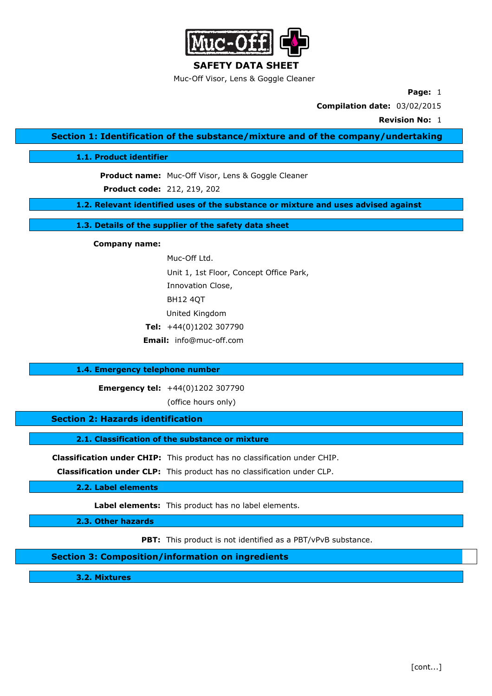

**SAFETY DATA SHEET** Muc-Off Visor, Lens & Goggle Cleaner

**Page:** 1

**Compilation date:** 03/02/2015

**Revision No:** 1

**Section 1: Identification of the substance/mixture and of the company/undertaking**

**1.1. Product identifier**

**Product name:** Muc-Off Visor, Lens & Goggle Cleaner **Product code:** 212, 219, 202

**1.2. Relevant identified uses of the substance or mixture and uses advised against**

**1.3. Details of the supplier of the safety data sheet**

**Company name:**

Muc-Off Ltd. Unit 1, 1st Floor, Concept Office Park, Innovation Close, BH12 4QT United Kingdom **Tel:** +44(0)1202 307790 **Email:** info@muc-off.com

## **1.4. Emergency telephone number**

**Emergency tel:** +44(0)1202 307790

(office hours only)

**Section 2: Hazards identification**

**2.1. Classification of the substance or mixture**

**Classification under CHIP:** This product has no classification under CHIP.

**Classification under CLP:** This product has no classification under CLP.

**2.2. Label elements**

**Label elements:** This product has no label elements.

**2.3. Other hazards**

**PBT:** This product is not identified as a PBT/vPvB substance.

**Section 3: Composition/information on ingredients**

**3.2. Mixtures**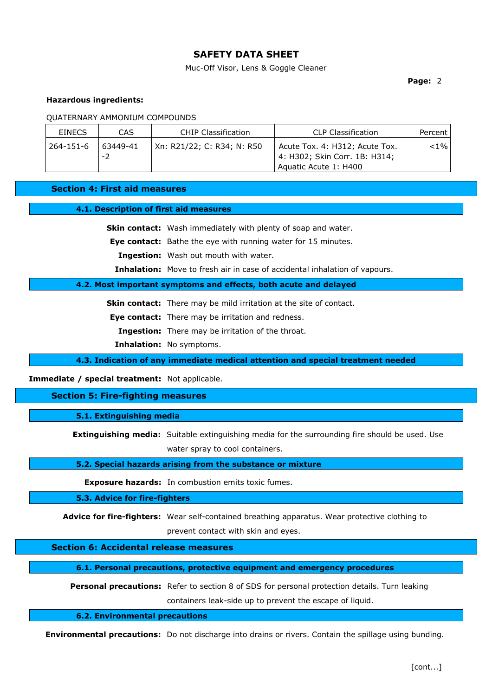Muc-Off Visor, Lens & Goggle Cleaner

**Page:** 2

## **Hazardous ingredients:**

QUATERNARY AMMONIUM COMPOUNDS

| <b>EINECS</b> | CAS            | <b>CHIP Classification</b> | <b>CLP Classification</b>                                                                | Percent  |
|---------------|----------------|----------------------------|------------------------------------------------------------------------------------------|----------|
| 264-151-6     | 63449-41<br>-2 | Xn: R21/22; C: R34; N: R50 | Acute Tox. 4: H312; Acute Tox.<br>4: H302; Skin Corr. 1B: H314;<br>Aquatic Acute 1: H400 | ${<}1\%$ |

**Section 4: First aid measures**

#### **4.1. Description of first aid measures**

**Skin contact:** Wash immediately with plenty of soap and water.

**Eye contact:** Bathe the eye with running water for 15 minutes.

**Ingestion:** Wash out mouth with water.

**Inhalation:** Move to fresh air in case of accidental inhalation of vapours.

## **4.2. Most important symptoms and effects, both acute and delayed**

**Skin contact:** There may be mild irritation at the site of contact.

**Eye contact:** There may be irritation and redness.

**Ingestion:** There may be irritation of the throat.

**Inhalation:** No symptoms.

**4.3. Indication of any immediate medical attention and special treatment needed**

**Immediate / special treatment:** Not applicable.

## **Section 5: Fire-fighting measures**

**5.1. Extinguishing media**

**Extinguishing media:** Suitable extinguishing media for the surrounding fire should be used. Use water spray to cool containers.

#### **5.2. Special hazards arising from the substance or mixture**

**Exposure hazards:** In combustion emits toxic fumes.

**5.3. Advice for fire-fighters**

**Advice for fire-fighters:** Wear self-contained breathing apparatus. Wear protective clothing to prevent contact with skin and eyes.

# **Section 6: Accidental release measures**

**6.1. Personal precautions, protective equipment and emergency procedures**

**Personal precautions:** Refer to section 8 of SDS for personal protection details. Turn leaking

containers leak-side up to prevent the escape of liquid.

**6.2. Environmental precautions**

**Environmental precautions:** Do not discharge into drains or rivers. Contain the spillage using bunding.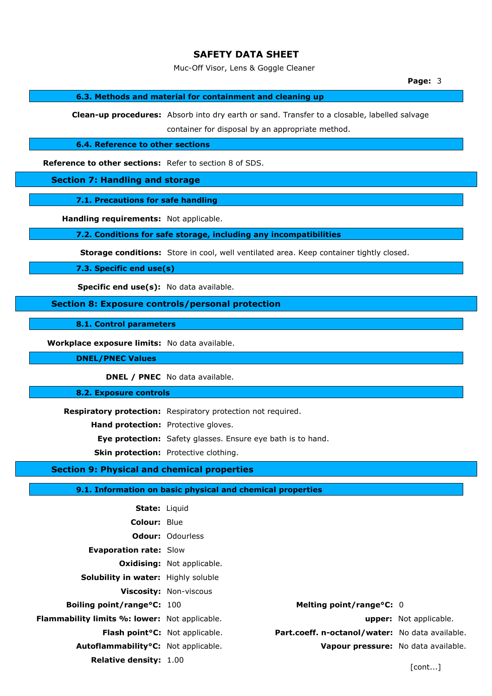Muc-Off Visor, Lens & Goggle Cleaner

# **6.3. Methods and material for containment and cleaning up**

**Clean-up procedures:** Absorb into dry earth or sand. Transfer to a closable, labelled salvage container for disposal by an appropriate method.

**6.4. Reference to other sections**

**Reference to other sections:** Refer to section 8 of SDS.

**Section 7: Handling and storage**

**7.1. Precautions for safe handling**

**Handling requirements:** Not applicable.

**7.2. Conditions for safe storage, including any incompatibilities**

**Storage conditions:** Store in cool, well ventilated area. Keep container tightly closed.

**7.3. Specific end use(s)**

**Specific end use(s):** No data available.

**Section 8: Exposure controls/personal protection**

**8.1. Control parameters**

**Workplace exposure limits:** No data available.

**DNEL/PNEC Values**

**DNEL / PNEC** No data available.

**8.2. Exposure controls**

**Respiratory protection:** Respiratory protection not required.

**Hand protection:** Protective gloves.

**Eye protection:** Safety glasses. Ensure eye bath is to hand.

**Skin protection:** Protective clothing.

# **Section 9: Physical and chemical properties**

### **9.1. Information on basic physical and chemical properties**

| <b>State:</b> Liquid                                 |                                              |                        |
|------------------------------------------------------|----------------------------------------------|------------------------|
| <b>Colour: Blue</b>                                  |                                              |                        |
|                                                      | <b>Odour: Odourless</b>                      |                        |
| <b>Evaporation rate: Slow</b>                        |                                              |                        |
|                                                      | <b>Oxidising:</b> Not applicable.            |                        |
| Solubility in water: Highly soluble                  |                                              |                        |
|                                                      | <b>Viscosity: Non-viscous</b>                |                        |
| <b>Boiling point/range °C: 100</b>                   | Melting point/range $\degree$ C: 0           |                        |
| <b>Flammability limits %: lower:</b> Not applicable. |                                              | upper: Not applicable. |
| <b>Flash point<sup>o</sup>C:</b> Not applicable.     | Part.coeff. n-octanol/water: No data availal |                        |
| Autoflammability <sup>o</sup> C: Not applicable.     | Vapour pressure: No data availal             |                        |
| <b>Relative density: 1.00</b>                        |                                              |                        |

**Melting point/range°C: 0 Part.coeff. n-octanol/water:** No data available. Vapour pressure: No data available.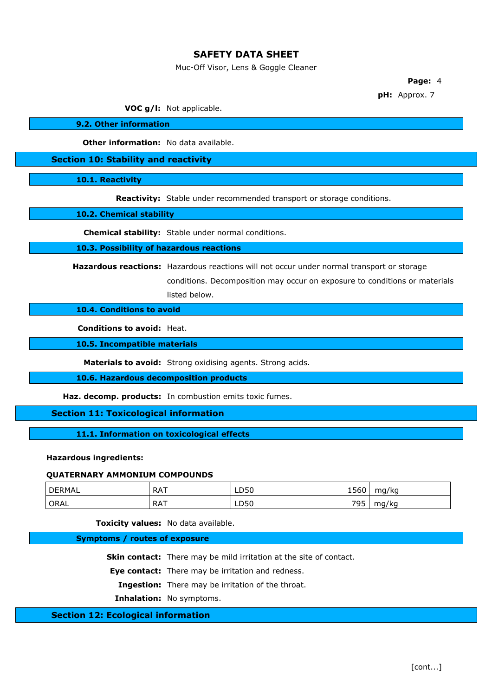Muc-Off Visor, Lens & Goggle Cleaner

**Page:** 4

**pH:** Approx. 7

**VOC g/l:** Not applicable.

**9.2. Other information**

**Other information:** No data available.

**Section 10: Stability and reactivity**

**10.1. Reactivity**

**Reactivity:** Stable under recommended transport or storage conditions.

**10.2. Chemical stability**

**Chemical stability:** Stable under normal conditions.

### **10.3. Possibility of hazardous reactions**

**Hazardous reactions:** Hazardous reactions will not occur under normal transport or storage

conditions. Decomposition may occur on exposure to conditions or materials listed below.

**10.4. Conditions to avoid**

**Conditions to avoid:** Heat.

**10.5. Incompatible materials**

**Materials to avoid:** Strong oxidising agents. Strong acids.

**10.6. Hazardous decomposition products**

**Haz. decomp. products:** In combustion emits toxic fumes.

**Section 11: Toxicological information**

**11.1. Information on toxicological effects**

## **Hazardous ingredients:**

#### **QUATERNARY AMMONIUM COMPOUNDS**

| <b>DERMAL</b> | <b>RAT</b> | LD50 | 1560      | mg/kg |
|---------------|------------|------|-----------|-------|
| ' ORAL        | <b>RAT</b> | LD50 | 705<br>ラン | mg/kg |

**Toxicity values:** No data available.

#### **Symptoms / routes of exposure**

**Skin contact:** There may be mild irritation at the site of contact.

**Eye contact:** There may be irritation and redness.

**Ingestion:** There may be irritation of the throat.

**Inhalation:** No symptoms.

## **Section 12: Ecological information**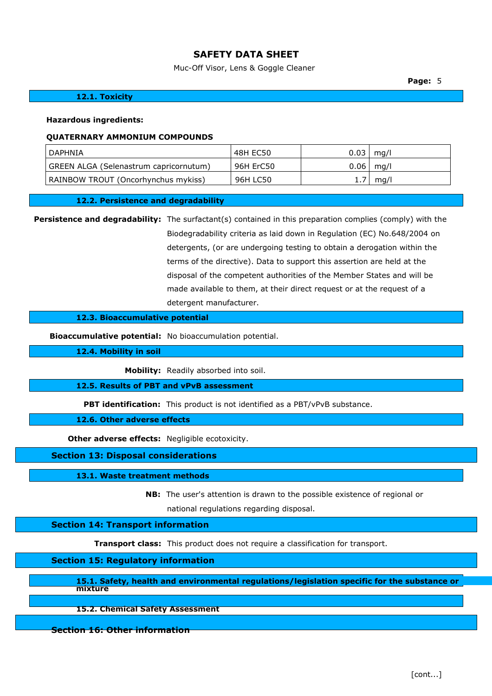Muc-Off Visor, Lens & Goggle Cleaner

**Page:** 5

## **12.1. Toxicity**

#### **Hazardous ingredients:**

#### **QUATERNARY AMMONIUM COMPOUNDS**

| ' DAPHNIA                              | 48H EC50  | 0.03 | mg/l          |
|----------------------------------------|-----------|------|---------------|
| GREEN ALGA (Selenastrum capricornutum) | 96H ErC50 |      | $0.06$   mg/l |
| RAINBOW TROUT (Oncorhynchus mykiss)    | 96H LC50  |      | mg/l          |

#### **12.2. Persistence and degradability**

**Persistence and degradability:** The surfactant(s) contained in this preparation complies (comply) with the Biodegradability criteria as laid down in Regulation (EC) No.648/2004 on detergents, (or are undergoing testing to obtain a derogation within the terms of the directive). Data to support this assertion are held at the disposal of the competent authorities of the Member States and will be made available to them, at their direct request or at the request of a detergent manufacturer.

## **12.3. Bioaccumulative potential**

**Bioaccumulative potential:** No bioaccumulation potential.

**12.4. Mobility in soil**

**Mobility:** Readily absorbed into soil.

**12.5. Results of PBT and vPvB assessment**

**PBT identification:** This product is not identified as a PBT/vPvB substance.

**12.6. Other adverse effects**

**Other adverse effects:** Negligible ecotoxicity.

#### **Section 13: Disposal considerations**

#### **13.1. Waste treatment methods**

**NB:** The user's attention is drawn to the possible existence of regional or national regulations regarding disposal.

## **Section 14: Transport information**

**Transport class:** This product does not require a classification for transport.

## **Section 15: Regulatory information**

**15.1. Safety, health and environmental regulations/legislation specific for the substance or mixture**

**15.2. Chemical Safety Assessment**

**Section 16: Other information**